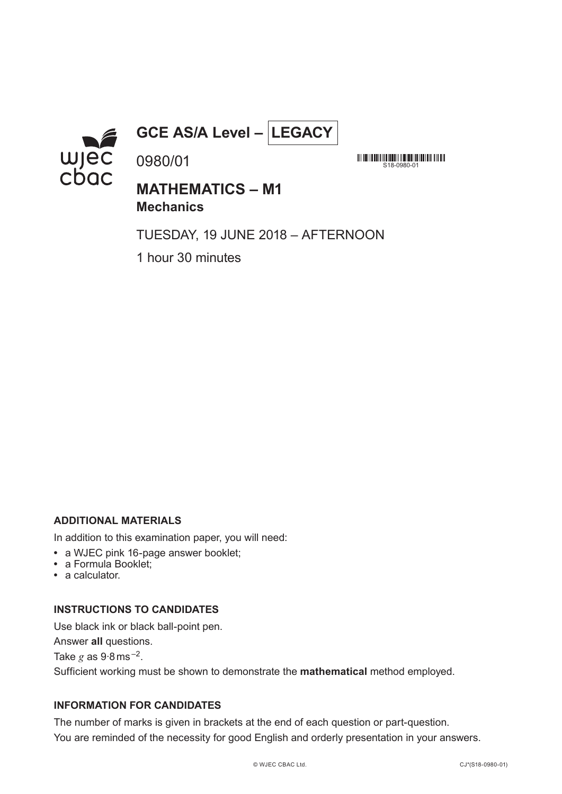

## **GCE AS/A Level – LEGACY**

<u> All an India and Ann an Ainmeil ann an 1991 an 1991 an </u>  $S18-0980-01$ 

### **MATHEMATICS – M1 Mechanics**

TUESDAY, 19 JUNE 2018 – AFTERNOON

1 hour 30 minutes

0980/01

#### **ADDITIONAL MATERIALS**

In addition to this examination paper, you will need:

- **•** a WJEC pink 16-page answer booklet;
- **•** a Formula Booklet;
- **•** a calculator.

#### **INSTRUCTIONS TO CANDIDATES**

Use black ink or black ball-point pen. Answer **all** questions. Take  $g$  as  $9.8$  ms<sup> $-2$ </sup>. Sufficient working must be shown to demonstrate the **mathematical** method employed.

#### **INFORMATION FOR CANDIDATES**

The number of marks is given in brackets at the end of each question or part-question. You are reminded of the necessity for good English and orderly presentation in your answers.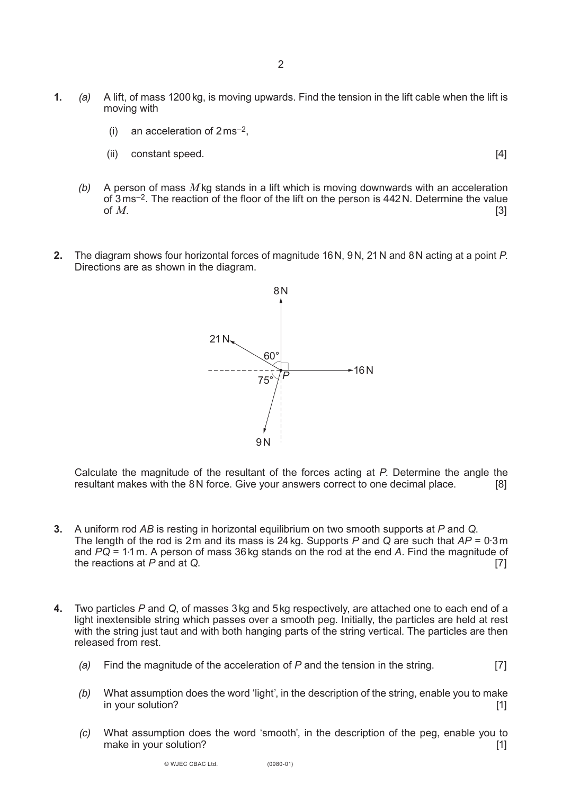**1.** *(a)* A lift, of mass 1200kg, is moving upwards. Find the tension in the lift cable when the lift is moving with

2

- (i) an acceleration of 2ms–2,
- (ii) constant speed. [4]
- *(b)* A person of mass *M*kg stands in a lift which is moving downwards with an acceleration of 3 ms<sup>-2</sup>. The reaction of the floor of the lift on the person is 442N. Determine the value of  $M$ . of  $M$ . [3]
- **2.** The diagram shows four horizontal forces of magnitude 16N, 9N, 21N and 8N acting at a point *P*. Directions are as shown in the diagram.



Calculate the magnitude of the resultant of the forces acting at *P*. Determine the angle the resultant makes with the 8N force. Give your answers correct to one decimal place. [8]

- **3.** A uniform rod *AB* is resting in horizontal equilibrium on two smooth supports at *P* and *Q*. The length of the rod is 2m and its mass is 24kg. Supports *P* and *Q* are such that *AP* = 0. 3m and *PQ* = 1. 1m. A person of mass 36kg stands on the rod at the end *A*. Find the magnitude of the reactions at *P* and at *Q*.
- **4.** Two particles *P* and *Q*, of masses 3kg and 5kg respectively, are attached one to each end of a light inextensible string which passes over a smooth peg. Initially, the particles are held at rest with the string just taut and with both hanging parts of the string vertical. The particles are then released from rest.
	- *(a)* Find the magnitude of the acceleration of *P* and the tension in the string. [7]
	- *(b)* What assumption does the word 'light', in the description of the string, enable you to make in your solution? [1]
	- *(c)* What assumption does the word 'smooth', in the description of the peg, enable you to make in your solution? [1]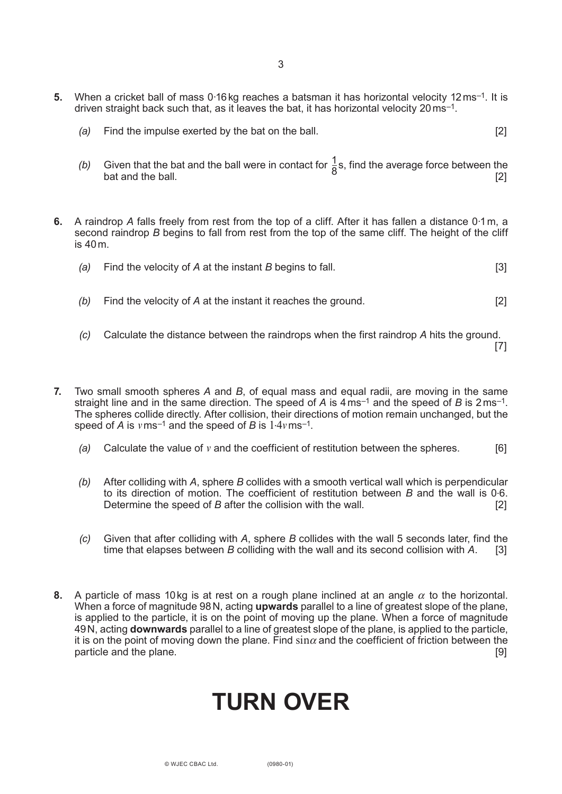- **5.** When a cricket ball of mass 0.16kg reaches a batsman it has horizontal velocity 12ms<sup>-1</sup>. It is driven straight back such that, as it leaves the bat, it has horizontal velocity 20ms–1.
	- *(a)* Find the impulse exerted by the bat on the ball. [2]
	- (b) Given that the bat and the ball were in contact for  $\frac{1}{6}$ s, find the average force between the bat and the ball.  $\overline{a}$  is a set of the ball.  $\overline{a}$  is a set of the ball.  $\overline{a}$  is a set of the ball. 8
- **6.** A raindrop *A* falls freely from rest from the top of a cliff. After it has fallen a distance 0·1m, a second raindrop *B* begins to fall from rest from the top of the same cliff. The height of the cliff is 40m.
	- *(a)* Find the velocity of *A* at the instant *B* begins to fall. [3]
	- *(b)* Find the velocity of *A* at the instant it reaches the ground. [2]
	- *(c)* Calculate the distance between the raindrops when the first raindrop *A* hits the ground.

[7]

- **7.** Two small smooth spheres *A* and *B*, of equal mass and equal radii, are moving in the same straight line and in the same direction. The speed of *A* is 4ms–1 and the speed of *B* is 2ms–1. The spheres collide directly. After collision, their directions of motion remain unchanged, but the speed of *A* is *v*ms–1 and the speed of *B* is 1. 4*v*ms–1.
	- *(a)* Calculate the value of *v* and the coefficient of restitution between the spheres. [6]
	- *(b)* After colliding with *A*, sphere *B* collides with a smooth vertical wall which is perpendicular to its direction of motion. The coefficient of restitution between *B* and the wall is 0. 6. Determine the speed of *B* after the collision with the wall. [2]
	- *(c)* Given that after colliding with *A*, sphere *B* collides with the wall 5 seconds later, find the time that elapses between *B* colliding with the wall and its second collision with *A*. [3]
- **8.** A particle of mass 10kg is at rest on a rough plane inclined at an angle  $\alpha$  to the horizontal. When a force of magnitude 98N, acting **upwards** parallel to a line of greatest slope of the plane, is applied to the particle, it is on the point of moving up the plane. When a force of magnitude 49N, acting **downwards** parallel to a line of greatest slope of the plane, is applied to the particle, it is on the point of moving down the plane. Find  $\sin \alpha$  and the coefficient of friction between the particle and the plane. particle and the plane.

# **TURN OVER**